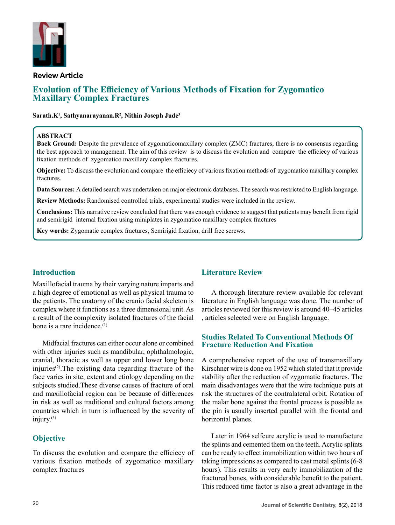

#### **Review Article**

# **Evolution of The Efficiency of Various Methods of Fixation for Zygomatico Maxillary Complex Fractures**

#### **Sarath.K1 , Sathyanarayanan.R2 , Nithin Joseph Jude3**

#### **ABSTRACT**

**Back Ground:** Despite the prevalence of zygomaticomaxillary complex (ZMC) fractures, there is no consensus regarding the best approach to management. The aim of this review is to discuss the evolution and compare the efficiecy of various fixation methods of zygomatico maxillary complex fractures.

**Objective:** To discuss the evolution and compare the efficiecy of various fixation methods of zygomatico maxillary complex fractures.

**Data Sources:** A detailed search was undertaken on major electronic databases. The search was restricted to English language.

**Review Methods:** Randomised controlled trials, experimental studies were included in the review.

**Conclusions:** This narrative review concluded that there was enough evidence to suggest that patients may benefit from rigid and semirigid internal fixation using miniplates in zygomatico maxillary complex fractures

**Key words:** Zygomatic complex fractures, Semirigid fixation, drill free screws.

# **Introduction**

Maxillofacial trauma by their varying nature imparts and a high degree of emotional as well as physical trauma to the patients. The anatomy of the cranio facial skeleton is complex where it functions as a three dimensional unit. As a result of the complexity isolated fractures of the facial bone is a rare incidence.(1)

Midfacial fractures can either occur alone or combined with other injuries such as mandibular, ophthalmologic, cranial, thoracic as well as upper and lower long bone injuries<sup>(2)</sup>. The existing data regarding fracture of the face varies in site, extent and etiology depending on the subjects studied.These diverse causes of fracture of oral and maxillofacial region can be because of differences in risk as well as traditional and cultural factors among countries which in turn is influenced by the severity of injury.(3)

# **Objective**

To discuss the evolution and compare the efficiecy of various fixation methods of zygomatico maxillary complex fractures

# **Literature Review**

A thorough literature review available for relevant literature in English language was done. The number of articles reviewed for this review is around 40–45 articles , articles selected were on English language.

### **Studies Related To Conventional Methods Of Fracture Reduction And Fixation**

A comprehensive report of the use of transmaxillary Kirschner wire is done on 1952 which stated that it provide stability after the reduction of zygomatic fractures. The main disadvantages were that the wire technique puts at risk the structures of the contralateral orbit. Rotation of the malar bone against the frontal process is possible as the pin is usually inserted parallel with the frontal and horizontal planes.

Later in 1964 selfcure acrylic is used to manufacture the splints and cemented them on the teeth. Acrylic splints can be ready to effect immobilization within two hours of taking impressions as compared to cast metal splints (6-8 hours). This results in very early immobilization of the fractured bones, with considerable benefit to the patient. This reduced time factor is also a great advantage in the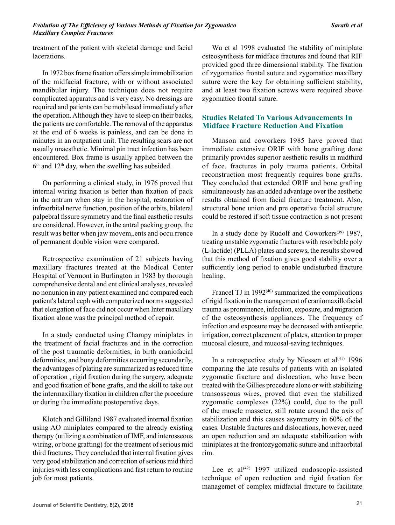treatment of the patient with skeletal damage and facial lacerations.

In 1972 box frame fixation offers simple immobilization of the midfacial fracture, with or without associated mandibular injury. The technique does not require complicated apparatus and is very easy. No dressings are required and patients can be mobilesed immediately after the operation. Although they have to sleep on their backs, the patients are comfortable. The removal of the apparatus at the end of 6 weeks is painless, and can be done in minutes in an outpatient unit. The resulting scars are not usually unaesthetic. Minimal pin tract infection has been encountered. Box frame is usually applied between the  $6<sup>th</sup>$  and  $12<sup>th</sup>$  day, when the swelling has subsided.

On performing a clinical study, in 1976 proved that internal wiring fixation is better than fixation of pack in the antrum when stay in the hospital, restoration of infraorbital nerve function, position of the orbits, bilateral palpebral fissure symmetry and the final easthetic results are considered. However, in the antral packing group, the result was better when jaw movem,.ents and occu.rrence of permanent double vision were compared.

Retrospective examination of 21 subjects having maxillary fractures treated at the Medical Center Hospital of Vermont in Burlington in 1983 by thorough comprehensive dental and ent clinical analyses, revealed no nonunion in any patient examined and compared each patient's lateral ceph with computerized norms suggested that elongation of face did not occur when Inter maxillary fixation alone was the principal method of repair.

In a study conducted using Champy miniplates in the treatment of facial fractures and in the correction of the post traumatic deformities, in birth craniofacial deformities, and bony deformities occurring secondarily, the advantages of plating are summarized as reduced time of operation , rigid fixation during the surgery, adequate and good fixation of bone grafts, and the skill to take out the intermaxillary fixation in children after the procedure or during the immediate postoperative days.

Klotch and Gilliland 1987 evaluated internal fixation using AO miniplates compared to the already existing therapy (utilizing a combination of IMF, and interosseous wiring, or bone grafting) for the treatment of serious mid third fractures. They concluded that internal fixation gives very good stabilization and correction of serious mid third injuries with less complications and fast return to routine job for most patients.

Wu et al 1998 evaluated the stability of miniplate osteosynthesis for midface fractures and found that RIF provided good three dimensional stability. The fixation of zygomatico frontal suture and zygomatico maxillary suture were the key for obtaining sufficient stability, and at least two fixation screws were required above zygomatico frontal suture.

### **Studies Related To Various Advancements In Midface Fracture Reduction And Fixation**

Manson and coworkers 1985 have proved that immediate extensive ORIF with bone grafting done primarily provides superior aesthetic results in midthird of face. fractures in poly trauma patients. Orbital reconstruction most frequently requires bone grafts. They concluded that extended ORIF and bone grafting simultaneously has an added advantage over the aesthetic results obtained from facial fracture treatment. Also, structural bone union and pre operative facial structure could be restored if soft tissue contraction is not present

In a study done by Rudolf and Coworkers<sup>(39)</sup> 1987, treating unstable zygomatic fractures with resorbable poly (L-lactide) (PLLA) plates and screws, the results showed that this method of fixation gives good stability over a sufficiently long period to enable undisturbed fracture healing.

Francel TJ in  $1992^{(40)}$  summarized the complications of rigid fixation in the management of craniomaxillofacial trauma as prominence, infection, exposure, and migration of the osteosynthesis appliances. The frequency of infection and exposure may be decreased with antiseptic irrigation, correct placement of plates, attention to proper mucosal closure, and mucosal-saving techniques.

In a retrospective study by Niessen et al<sup>(41)</sup> 1996 comparing the late results of patients with an isolated zygomatic fracture and dislocation, who have been treated with the Gillies procedure alone or with stabilizing transosseous wires, proved that even the stabilized zygomatic complexes (22%) could, due to the pull of the muscle masseter, still rotate around the axis of stabilization and this causes asymmetry in 60% of the cases. Unstable fractures and dislocations, however, need an open reduction and an adequate stabilization with miniplates at the frontozygomatic suture and infraorbital rim.

Lee et al $(42)$  1997 utilized endoscopic-assisted technique of open reduction and rigid fixation for managemet of complex midfacial fracture to facilitate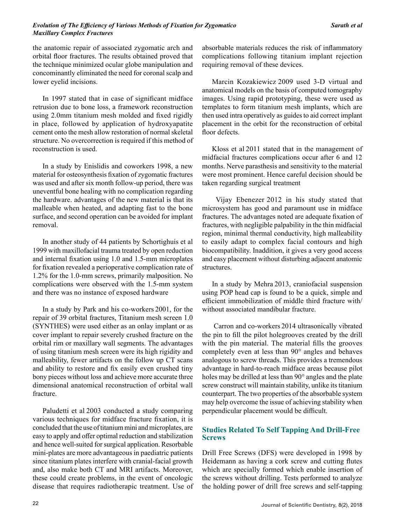#### *Evolution of The Efficiency of Various Methods of Fixation for Zygomatico Maxillary Complex Fractures*

the anatomic repair of associated zygomatic arch and orbital floor fractures. The results obtained proved that the technique minimized ocular globe manipulation and concominantly eliminated the need for coronal scalp and lower eyelid incisions.

In 1997 stated that in case of significant midface retrusion due to bone loss, a framework reconstruction using 2.0mm titanium mesh molded and fixed rigidly in place, followed by application of hydroxyapatite cement onto the mesh allow restoration of normal skeletal structure. No overcorrection is required if this method of reconstruction is used.

In a study by Enislidis and coworkers 1998, a new material for osteosynthesis fixation of zygomatic fractures was used and after six month follow-up period, there was uneventful bone healing with no complication regarding the hardware. advantages of the new material is that its malleable when heated, and adapting fast to the bone surface, and second operation can be avoided for implant removal.

In another study of 44 patients by Schortighuis et al 1999 with maxillofacial trauma treated by open reduction and internal fixation using 1.0 and 1.5-mm microplates for fixation revealed a perioperative complication rate of 1.2% for the 1.0-mm screws, primarily malposition. No complications were observed with the 1.5-mm system and there was no instance of exposed hardware

In a study by Park and his co-workers 2001, for the repair of 39 orbital fractures, Titanium mesh screen 1.0 (SYNTHES) were used either as an onlay implant or as cover implant to repair severely crushed fracture on the orbital rim or maxillary wall segments. The advantages of using titanium mesh screen were its high rigidity and malleability, fewer artifacts on the follow up CT scans and ability to restore and fix easily even crushed tiny bony pieces without loss and achieve more accurate three dimensional anatomical reconstruction of orbital wall fracture.

Paludetti et al 2003 conducted a study comparing various techniques for midface fracture fixation, it is concluded that the use of titanium mini and microplates, are easy to apply and offer optimal reduction and stabilization and hence well-suited for surgical application. Resorbable mini-plates are more advantageous in paediatric patients since titanium plates interfere with cranial-facial growth and, also make both CT and MRI artifacts. Moreover, these could create problems, in the event of oncologic disease that requires radiotherapic treatment. Use of absorbable materials reduces the risk of inflammatory complications following titanium implant rejection requiring removal of these devices.

Marcin Kozakiewicz 2009 used 3-D virtual and anatomical models on the basis of computed tomography images. Using rapid prototyping, these were used as templates to form titanium mesh implants, which are then used intra operatively as guides to aid correct implant placement in the orbit for the reconstruction of orbital floor defects.

Kloss et al 2011 stated that in the management of midfacial fractures complications occur after 6 and 12 months. Nerve parasthesis and sensitivity to the material were most prominent. Hence careful decision should be taken regarding surgical treatment

 Vijay Ebenezer 2012 in his study stated that microsystem has good and paramount use in midface fractures. The advantages noted are adequate fixation of fractures, with negligible palpability in the thin midfacial region, minimal thermal conductivity, high malleability to easily adapt to complex facial contours and high biocompatibility. Inaddition, it gives a very good access and easy placement without disturbing adjacent anatomic structures.

In a study by Mehra 2013, craniofacial suspension using POP head cap is found to be a quick, simple and efficient immobilization of middle third fracture with/ without associated mandibular fracture.

 Carron and co-workers 2014 ultrasonically vibrated the pin to fill the pilot holegrooves created by the drill with the pin material. The material fills the grooves completely even at less than 90° angles and behaves analogous to screw threads. This provides a tremendous advantage in hard-to-reach midface areas because pilot holes may be drilled at less than 90° angles and the plate screw construct will maintain stability, unlike its titanium counterpart. The two properties of the absorbable system may help overcome the issue of achieving stability when perpendicular placement would be difficult.

# **Studies Related To Self Tapping And Drill-Free Screws**

Drill Free Screws (DFS) were developed in 1998 by Heidemann as having a cork screw and cutting flutes which are specially formed which enable insertion of the screws without drilling. Tests performed to analyze the holding power of drill free screws and self-tapping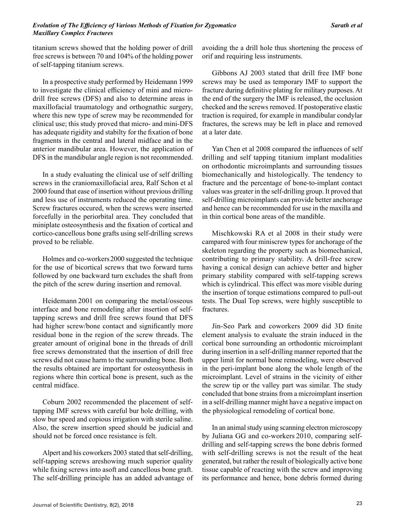titanium screws showed that the holding power of drill free screws is between 70 and 104% of the holding power of self-tapping titanium screws.

In a prospective study performed by Heidemann 1999 to investigate the clinical efficiency of mini and microdrill free screws (DFS) and also to determine areas in maxillofacial traumatology and orthognathic surgery, where this new type of screw may be recommended for clinical use; this study proved that micro- and mini-DFS has adequate rigidity and stabilty for the fixation of bone fragments in the central and lateral midface and in the anterior mandibular area. However, the application of DFS in the mandibular angle region is not recommended.

In a study evaluating the clinical use of self drilling screws in the craniomaxillofacial area, Ralf Schon et al 2000 found that ease of insertion without previous drilling and less use of instruments reduced the operating time. Screw fractures occured, when the screws were inserted forcefully in the periorbital area. They concluded that miniplate osteosynthesis and the fixation of cortical and cortico-cancellous bone grafts using self-drilling screws proved to be reliable.

Holmes and co-workers2000 suggested the technique for the use of bicortical screws that two forward turns followed by one backward turn excludes the shaft from the pitch of the screw during insertion and removal.

Heidemann 2001 on comparing the metal/osseous interface and bone remodeling after insertion of selftapping screws and drill free screws found that DFS had higher screw/bone contact and significantly more residual bone in the region of the screw threads. The greater amount of original bone in the threads of drill free screws demonstrated that the insertion of drill free screws did not cause harm to the surrounding bone. Both the results obtained are important for osteosynthesis in regions where thin cortical bone is present, such as the central midface.

Coburn 2002 recommended the placement of selftapping IMF screws with careful bur hole drilling, with slow bur speed and copious irrigation with sterile saline. Also, the screw insertion speed should be judicial and should not be forced once resistance is felt.

Alpert and his coworkers 2003 stated that self-drilling, self-tapping screws areshowing much superior quality while fixing screws into asoft and cancellous bone graft. The self-drilling principle has an added advantage of avoiding the a drill hole thus shortening the process of orif and requiring less instruments.

Gibbons AJ 2003 stated that drill free IMF bone screws may be used as temporary IMF to support the fracture during definitive plating for military purposes. At the end of the surgery the IMF is released, the occlusion checked and the screws removed. If postoperative elastic traction is required, for example in mandibular condylar fractures, the screws may be left in place and removed at a later date.

Yan Chen et al 2008 compared the influences of self drilling and self tapping titanium implant modalities on orthodontic microimplants and surrounding tissues biomechanically and histologically. The tendency to fracture and the percentage of bone-to-implant contact values was greater in the self-drilling group. It proved that self-drilling microimplants can provide better anchorage and hence can be recommended for use in the maxilla and in thin cortical bone areas of the mandible.

Mischkowski RA et al 2008 in their study were campared with four miniscrew types for anchorage of the skeleton regarding the property such as biomechanical, contributing to primary stability. A drill-free screw having a conical design can achieve better and higher primary stability compared with self-tapping screws which is cylindrical. This effect was more visible during the insertion of torque estimations compared to pull-out tests. The Dual Top screws, were highly susceptible to fractures.

Jin-Seo Park and coworkers 2009 did 3D finite element analysis to evaluate the strain induced in the cortical bone surrounding an orthodontic microimplant during insertion in a self-drilling manner reported that the upper limit for normal bone remodeling, were observed in the peri-implant bone along the whole length of the microimplant. Level of strains in the vicinity of either the screw tip or the valley part was similar. The study concluded that bone strains from a microimplant insertion in a self-drilling manner might have a negative impact on the physiological remodeling of cortical bone.

In an animal study using scanning electron microscopy by Juliana GG and co-workers 2010, comparing selfdrilling and self-tapping screws the bone debris formed with self-drilling screws is not the result of the heat generated, but rather the result of biologically active bone tissue capable of reacting with the screw and improving its performance and hence, bone debris formed during